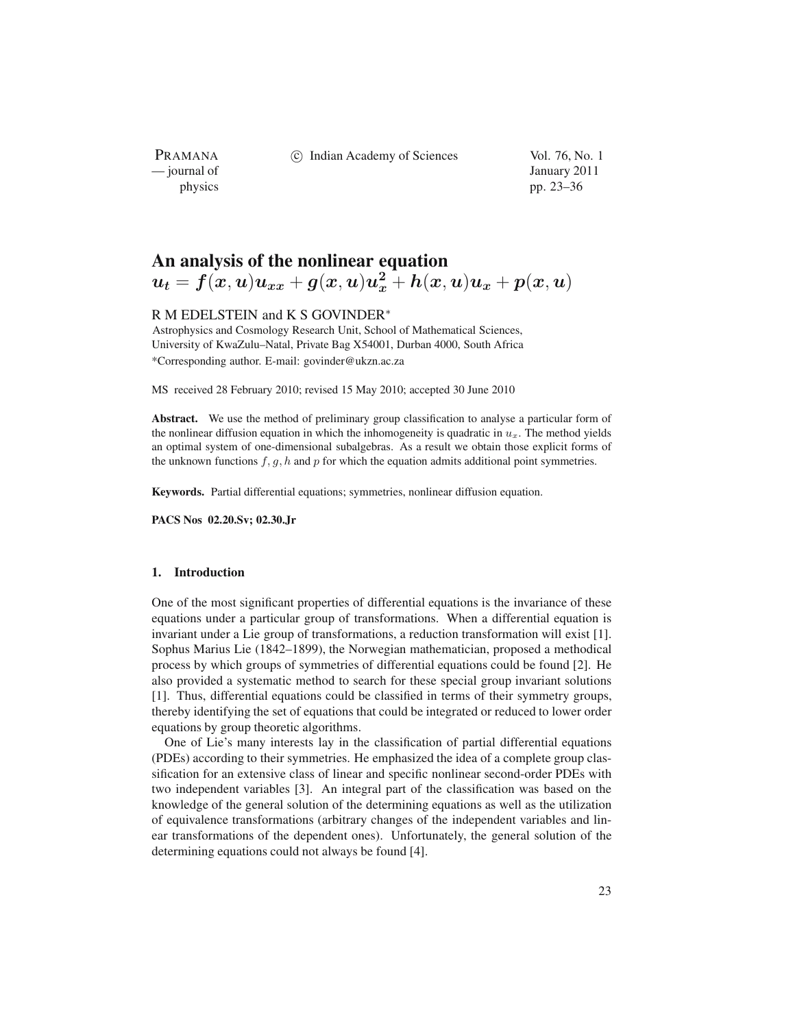PRAMANA<br>
— journal of

(c) Indian Academy of Sciences Vol. 76, No. 1

January 2011 physics pp. 23–36

# **An analysis of the nonlinear equation**

$$
u_t = f(x, u)u_{xx} + g(x, u)u_x^2 + h(x, u)u_x + p(x, u)
$$

# R M EDELSTEIN and K S GOVINDER∗

Astrophysics and Cosmology Research Unit, School of Mathematical Sciences, University of KwaZulu–Natal, Private Bag X54001, Durban 4000, South Africa \*Corresponding author. E-mail: govinder@ukzn.ac.za

MS received 28 February 2010; revised 15 May 2010; accepted 30 June 2010

**Abstract.** We use the method of preliminary group classification to analyse a particular form of the nonlinear diffusion equation in which the inhomogeneity is quadratic in  $u_x$ . The method yields an optimal system of one-dimensional subalgebras. As a result we obtain those explicit forms of the unknown functions  $f, g, h$  and p for which the equation admits additional point symmetries.

**Keywords.** Partial differential equations; symmetries, nonlinear diffusion equation.

**PACS Nos 02.20.Sv; 02.30.Jr**

## **1. Introduction**

One of the most significant properties of differential equations is the invariance of these equations under a particular group of transformations. When a differential equation is invariant under a Lie group of transformations, a reduction transformation will exist [1]. Sophus Marius Lie (1842–1899), the Norwegian mathematician, proposed a methodical process by which groups of symmetries of differential equations could be found [2]. He also provided a systematic method to search for these special group invariant solutions [1]. Thus, differential equations could be classified in terms of their symmetry groups, thereby identifying the set of equations that could be integrated or reduced to lower order equations by group theoretic algorithms.

One of Lie's many interests lay in the classification of partial differential equations (PDEs) according to their symmetries. He emphasized the idea of a complete group classification for an extensive class of linear and specific nonlinear second-order PDEs with two independent variables [3]. An integral part of the classification was based on the knowledge of the general solution of the determining equations as well as the utilization of equivalence transformations (arbitrary changes of the independent variables and linear transformations of the dependent ones). Unfortunately, the general solution of the determining equations could not always be found [4].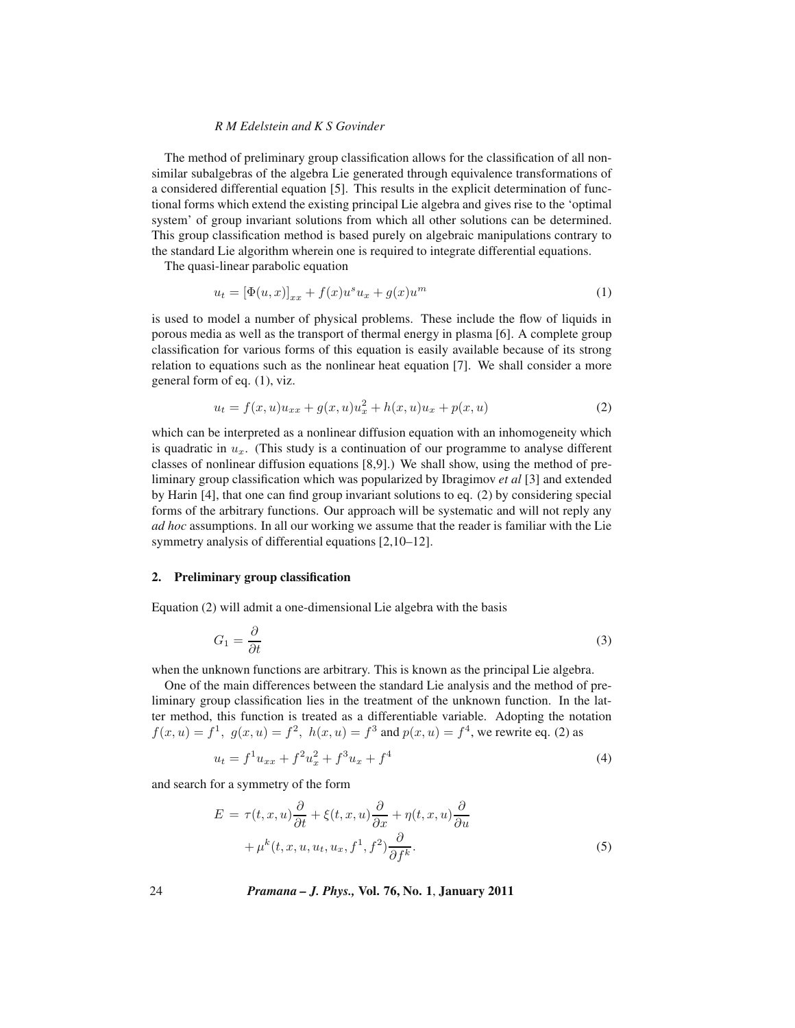The method of preliminary group classification allows for the classification of all nonsimilar subalgebras of the algebra Lie generated through equivalence transformations of a considered differential equation [5]. This results in the explicit determination of functional forms which extend the existing principal Lie algebra and gives rise to the 'optimal system' of group invariant solutions from which all other solutions can be determined. This group classification method is based purely on algebraic manipulations contrary to the standard Lie algorithm wherein one is required to integrate differential equations.

The quasi-linear parabolic equation

$$
u_t = [\Phi(u, x)]_{xx} + f(x)u^s u_x + g(x)u^m
$$
 (1)

is used to model a number of physical problems. These include the flow of liquids in porous media as well as the transport of thermal energy in plasma [6]. A complete group classification for various forms of this equation is easily available because of its strong relation to equations such as the nonlinear heat equation [7]. We shall consider a more general form of eq. (1), viz.

$$
u_t = f(x, u)u_{xx} + g(x, u)u_x^2 + h(x, u)u_x + p(x, u)
$$
 (2)

which can be interpreted as a nonlinear diffusion equation with an inhomogeneity which is quadratic in  $u_x$ . (This study is a continuation of our programme to analyse different classes of nonlinear diffusion equations [8,9].) We shall show, using the method of preliminary group classification which was popularized by Ibragimov *et al* [3] and extended by Harin [4], that one can find group invariant solutions to eq. (2) by considering special forms of the arbitrary functions. Our approach will be systematic and will not reply any *ad hoc* assumptions. In all our working we assume that the reader is familiar with the Lie symmetry analysis of differential equations [2,10–12].

# **2. Preliminary group classification**

Equation (2) will admit a one-dimensional Lie algebra with the basis

$$
G_1 = \frac{\partial}{\partial t}
$$
 (3)

when the unknown functions are arbitrary. This is known as the principal Lie algebra.

One of the main differences between the standard Lie analysis and the method of preliminary group classification lies in the treatment of the unknown function. In the latter method, this function is treated as a differentiable variable. Adopting the notation  $f(x, u) = f<sup>1</sup>$ ,  $g(x, u) = f<sup>2</sup>$ ,  $h(x, u) = f<sup>3</sup>$  and  $p(x, u) = f<sup>4</sup>$ , we rewrite eq. (2) as

$$
u_t = f^1 u_{xx} + f^2 u_x^2 + f^3 u_x + f^4
$$
\n(4)

and search for a symmetry of the form

$$
E = \tau(t, x, u)\frac{\partial}{\partial t} + \xi(t, x, u)\frac{\partial}{\partial x} + \eta(t, x, u)\frac{\partial}{\partial u} + \mu^{k}(t, x, u, u_{t}, u_{x}, f^{1}, f^{2})\frac{\partial}{\partial f^{k}}.
$$
 (5)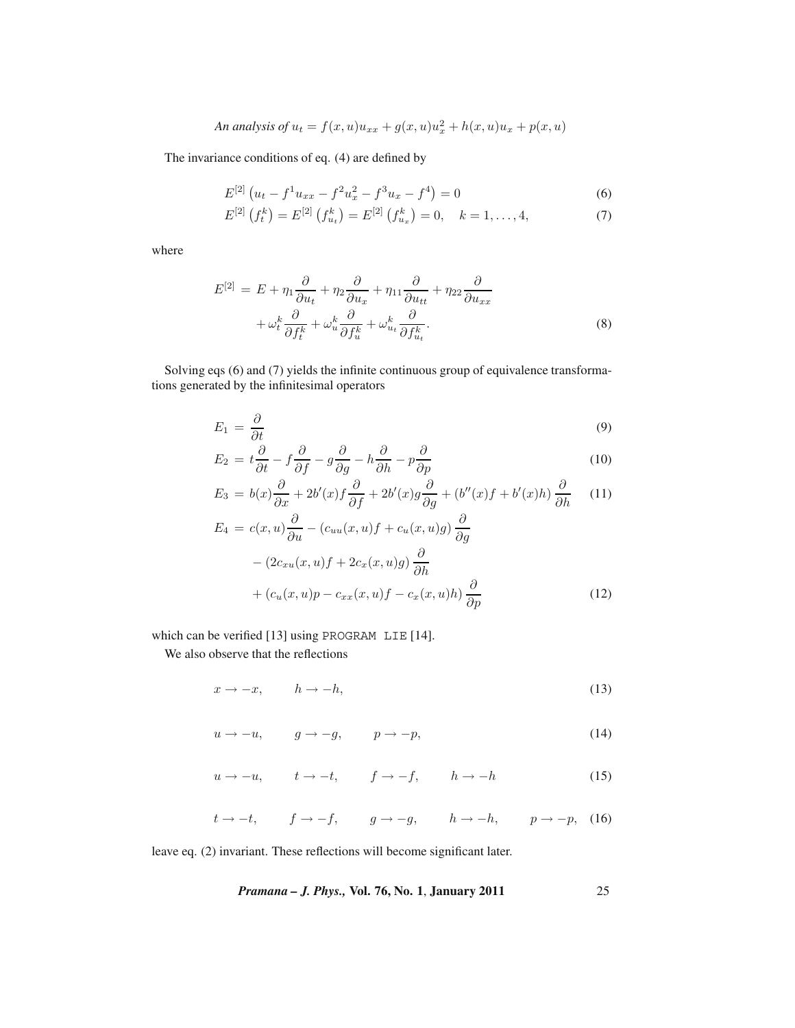An analysis of 
$$
u_t = f(x, u)u_{xx} + g(x, u)u_x^2 + h(x, u)u_x + p(x, u)
$$

The invariance conditions of eq. (4) are defined by

$$
E^{[2]} \left( u_t - f^1 u_{xx} - f^2 u_x^2 - f^3 u_x - f^4 \right) = 0 \tag{6}
$$

$$
E^{[2]} \left( f_t^k \right) = E^{[2]} \left( f_{u_t}^k \right) = E^{[2]} \left( f_{u_x}^k \right) = 0, \quad k = 1, \dots, 4,
$$
\n<sup>(7)</sup>

where

$$
E^{[2]} = E + \eta_1 \frac{\partial}{\partial u_t} + \eta_2 \frac{\partial}{\partial u_x} + \eta_{11} \frac{\partial}{\partial u_{tt}} + \eta_{22} \frac{\partial}{\partial u_{xx}} + \omega_t^k \frac{\partial}{\partial f_t^k} + \omega_u^k \frac{\partial}{\partial f_u^k} + \omega_{u_t}^k \frac{\partial}{\partial f_{u_t}^k}.
$$
 (8)

Solving eqs (6) and (7) yields the infinite continuous group of equivalence transformations generated by the infinitesimal operators

$$
E_1 = \frac{\partial}{\partial t}
$$
\n
$$
\frac{\partial}{\partial t} \qquad \frac{\partial}{\partial t} \qquad \frac{\partial}{\partial t} \qquad \frac{\partial}{\partial t} \qquad (9)
$$

$$
E_2 = t\frac{\partial}{\partial t} - f\frac{\partial}{\partial f} - g\frac{\partial}{\partial g} - h\frac{\partial}{\partial h} - p\frac{\partial}{\partial p}
$$
(10)

$$
E_3 = b(x)\frac{\partial}{\partial x} + 2b'(x)f\frac{\partial}{\partial f} + 2b'(x)g\frac{\partial}{\partial g} + (b''(x)f + b'(x)h)\frac{\partial}{\partial h}
$$
 (11)

$$
E_4 = c(x, u)\frac{\partial}{\partial u} - (c_{uu}(x, u)f + c_u(x, u)g)\frac{\partial}{\partial g}
$$

$$
- (2c_{xu}(x, u)f + 2c_x(x, u)g)\frac{\partial}{\partial h}
$$

$$
+ (c_u(x, u)p - c_{xx}(x, u)f - c_x(x, u)h)\frac{\partial}{\partial p}
$$
(12)

which can be verified [13] using PROGRAM LIE [14].

We also observe that the reflections

$$
x \to -x, \qquad h \to -h,\tag{13}
$$

$$
u \to -u, \qquad g \to -g, \qquad p \to -p,\tag{14}
$$

$$
u \to -u, \qquad t \to -t, \qquad f \to -f, \qquad h \to -h \tag{15}
$$

$$
t \to -t
$$
,  $f \to -f$ ,  $g \to -g$ ,  $h \to -h$ ,  $p \to -p$ , (16)

leave eq. (2) invariant. These reflections will become significant later.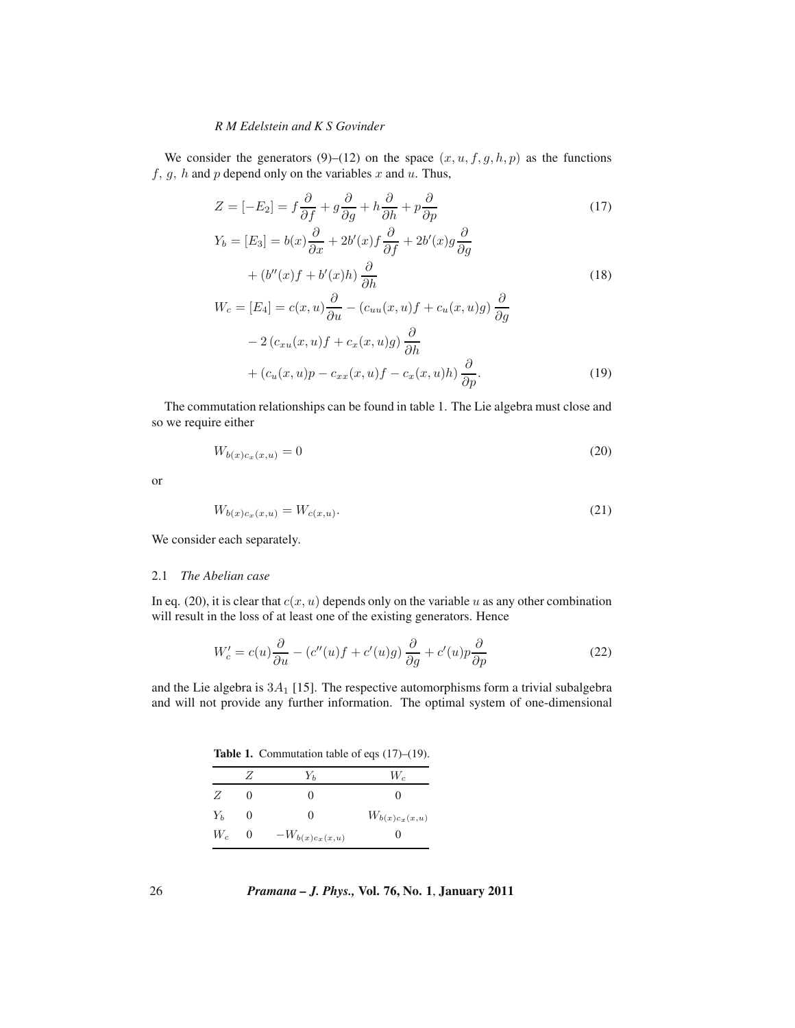We consider the generators (9)–(12) on the space  $(x, u, f, g, h, p)$  as the functions  $f, g, h$  and  $p$  depend only on the variables  $x$  and  $u$ . Thus,

$$
Z = [-E_2] = f\frac{\partial}{\partial f} + g\frac{\partial}{\partial g} + h\frac{\partial}{\partial h} + p\frac{\partial}{\partial p}
$$
  
\n
$$
Y_b = [E_3] = b(x)\frac{\partial}{\partial x} + 2b'(x)f\frac{\partial}{\partial f} + 2b'(x)g\frac{\partial}{\partial g}
$$
  
\n
$$
+ (b''(x)f + b'(x)h)\frac{\partial}{\partial h}
$$
\n(18)

$$
+ (b''(x)f + b'(x)h) \frac{\partial}{\partial h}
$$
\n
$$
W_c = [E_4] = c(x, u) \frac{\partial}{\partial u} - (c_{uu}(x, u)f + c_u(x, u)g) \frac{\partial}{\partial g}
$$
\n
$$
- 2(c_{xu}(x, u)f + c_x(x, u)g) \frac{\partial}{\partial h}
$$
\n
$$
+ (c_u(x, u)p - c_{xx}(x, u)f - c_x(x, u)h) \frac{\partial}{\partial p}.
$$
\n(19)

The commutation relationships can be found in table 1. The Lie algebra must close and so we require either

$$
W_{b(x)c_x(x,u)} = 0 \tag{20}
$$

or

$$
W_{b(x)c_x(x,u)} = W_{c(x,u)}.
$$
\n(21)

We consider each separately.

## 2.1 *The Abelian case*

In eq. (20), it is clear that  $c(x, u)$  depends only on the variable u as any other combination will result in the loss of at least one of the existing generators. Hence

$$
W_c' = c(u)\frac{\partial}{\partial u} - (c''(u)f + c'(u)g)\frac{\partial}{\partial g} + c'(u)p\frac{\partial}{\partial p}
$$
(22)

and the Lie algebra is  $3A_1$  [15]. The respective automorphisms form a trivial subalgebra and will not provide any further information. The optimal system of one-dimensional

Table 1. Commutation table of eqs (17)–(19).

|       |                   | $Y_{b}$             | W.                 |
|-------|-------------------|---------------------|--------------------|
| Z     | $\mathbf{\Omega}$ | $\theta$            | $\mathbf{\Omega}$  |
| $Y_b$ | $\theta$          | $\theta$            | $W_{b(x)c_x(x,u)}$ |
| $W_c$ | $\theta$          | $-W_{b(x)c_x(x,u)}$ | 0                  |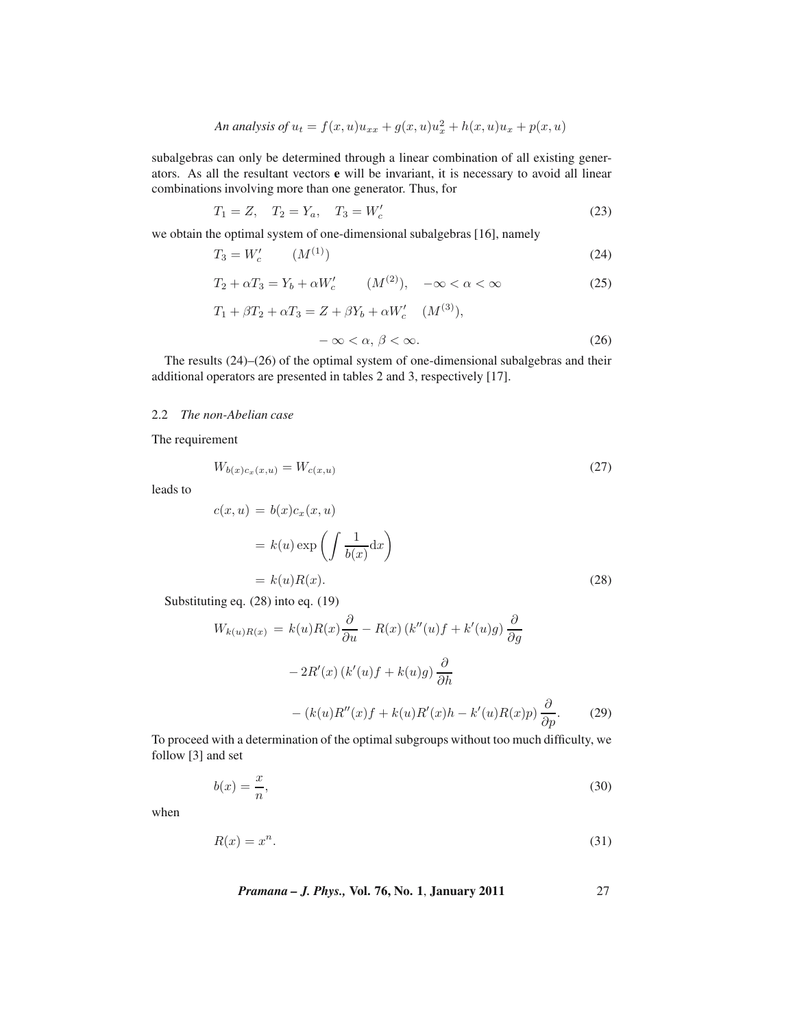An analysis of 
$$
u_t = f(x, u)u_{xx} + g(x, u)u_x^2 + h(x, u)u_x + p(x, u)
$$

subalgebras can only be determined through a linear combination of all existing generators. As all the resultant vectors **e** will be invariant, it is necessary to avoid all linear combinations involving more than one generator. Thus, for

$$
T_1 = Z, \quad T_2 = Y_a, \quad T_3 = W'_c \tag{23}
$$

we obtain the optimal system of one-dimensional subalgebras [16], namely

$$
T_3 = W_c' \qquad (M^{(1)}) \tag{24}
$$

$$
T_2 + \alpha T_3 = Y_b + \alpha W_c' \qquad (M^{(2)}), \quad -\infty < \alpha < \infty \tag{25}
$$

$$
T_1 + \beta T_2 + \alpha T_3 = Z + \beta Y_b + \alpha W_c' \quad (M^{(3)}),
$$
  

$$
-\infty < \alpha, \beta < \infty.
$$
 (26)

The results (24)–(26) of the optimal system of one-dimensional subalgebras and their additional operators are presented in tables 2 and 3, respectively [17].

## 2.2 *The non-Abelian case*

The requirement

$$
W_{b(x)c_x(x,u)} = W_{c(x,u)}
$$
\n(27)

leads to

$$
c(x, u) = b(x)c_x(x, u)
$$
  
=  $k(u) \exp \left( \int \frac{1}{b(x)} dx \right)$   
=  $k(u)R(x)$ . (28)

Substituting eq. (28) into eq. (19)

$$
W_{k(u)R(x)} = k(u)R(x)\frac{\partial}{\partial u} - R(x)(k''(u)f + k'(u)g)\frac{\partial}{\partial g}
$$

$$
-2R'(x)(k'(u)f + k(u)g)\frac{\partial}{\partial h}
$$

$$
-(k(u)R''(x)f + k(u)R'(x)h - k'(u)R(x)p)\frac{\partial}{\partial p}.
$$
 (29)  
To proceed with a determination of the optimal subgroups without too much difficulty, we

follow [3] and set

$$
b(x) = \frac{x}{n},\tag{30}
$$

when

$$
R(x) = x^n. \tag{31}
$$

*Pramana – J. Phys.,* **Vol. 76, No. 1**, **January 2011** 27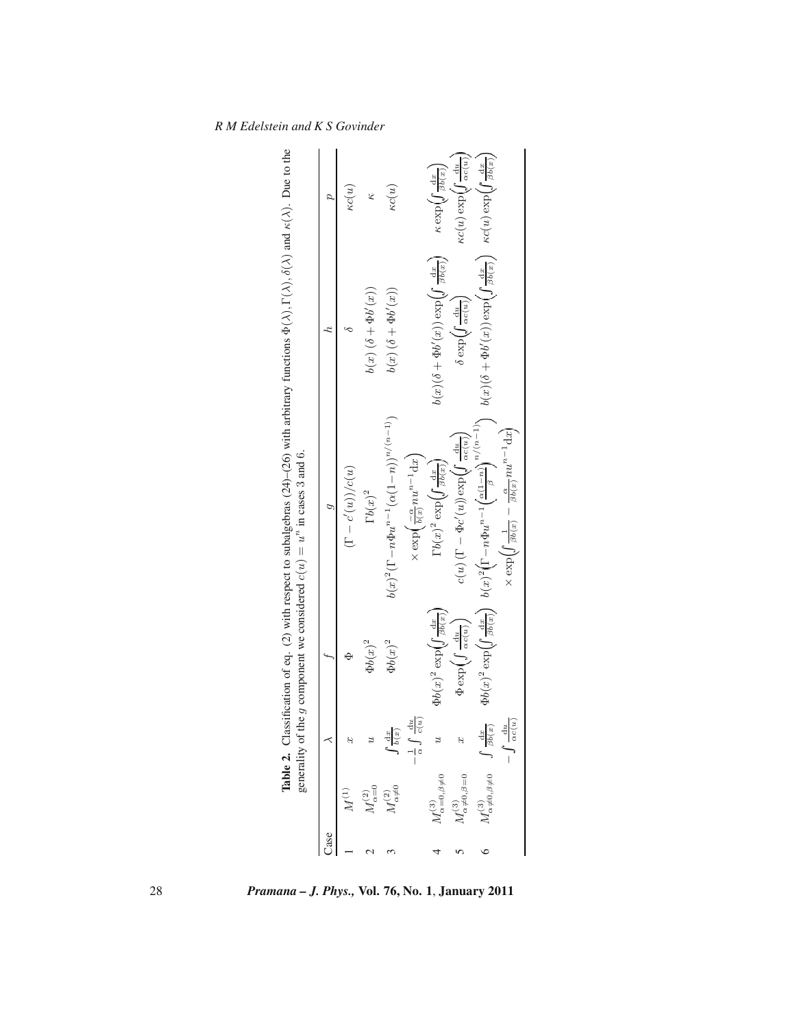|                                  |                                |                                                                     | P.                                                                                                                                                 |                                                                                                                                   |                                                                     |
|----------------------------------|--------------------------------|---------------------------------------------------------------------|----------------------------------------------------------------------------------------------------------------------------------------------------|-----------------------------------------------------------------------------------------------------------------------------------|---------------------------------------------------------------------|
|                                  |                                |                                                                     | $(\Gamma-c'(u))/c(u)$                                                                                                                              |                                                                                                                                   | $\kappa c(u)$                                                       |
|                                  |                                | $\Phi b(x)^2$                                                       | $\Gamma b(x)^2$                                                                                                                                    | $b(x)$ $(\delta + \Phi b'(x))$                                                                                                    | z                                                                   |
|                                  |                                | $\Phi b(x)^2$                                                       | $b(x)^2(\Gamma - n\Phi u^{n-1}(\alpha(1-n))^{n/(n-1)})$                                                                                            | $b(x)(\delta + \Phi b'(x))$                                                                                                       | $\kappa c(u)$                                                       |
|                                  | $\frac{d}{d(u)}$               |                                                                     | $\times$ exp $\left(\frac{-\alpha}{b(x)}nu^{n-1}dx\right)$                                                                                         |                                                                                                                                   |                                                                     |
| $M^{(3)}_{\alpha=0,\beta\neq 0}$ |                                | $\Phi b(x)^2 \exp\left(\int \frac{\mathrm{d}x}{\beta b(x)}\right)$  | $\Gamma b(x)^2 \exp\left(\int \frac{\mathrm{d}x}{\beta b(x)}\right)$                                                                               | $b(x)(\delta + \Phi b'(x)) \exp\left(\int \frac{dx}{\beta b(x)}\right)$                                                           | $\kappa \exp\left(\int \frac{\mathrm{d}x}{\beta b(x)}\right)$       |
| $x\neq 0, \beta = 0$             |                                | $\Phi \exp\left( \int \frac{\mathrm{d} u}{\mathrm{a} c(u)} \right)$ | $c(u) (\Gamma - \Phi c'(u)) \exp \left( \int \frac{\mathrm{d} u}{\alpha c(u)} \right)$                                                             | $\delta \exp\left(\int \frac{\mathrm{d}u}{\alpha c(u)}\right)$                                                                    | $\kappa c(u) \exp\left(\int \frac{\mathrm{d}u}{\alpha c(u)}\right)$ |
| $x\neq 0, \beta\neq 0$           | $\int \frac{dx}{\beta b(x)}$   |                                                                     | $\Phi b(x)^2 \exp\left(\int \frac{dx}{\beta b(x)}\right)~~b(x)^2\left(\Gamma-n\Phi u^{n-1}\left(\frac{\alpha(1-n)}{\beta}\right)^{n/(n-1)}\right)$ | $b(x)(\delta + \Phi b'(x)) \exp\left(\int \frac{dx}{\beta b(x)}\right)$ $\kappa c(u) \exp\left(\int \frac{dx}{\beta b(x)}\right)$ |                                                                     |
|                                  | $\frac{1}{3}$<br>$\frac{5}{3}$ |                                                                     | $\times \exp\left[ \int \frac{1}{\beta b(x)}-\frac{\alpha}{\beta b(x)} n u^{n-1} \mathrm{d}x\right]$                                               |                                                                                                                                   |                                                                     |

*R M Edelstein and K S Govinder*

28 *Pramana – J. Phys.,* **Vol. 76, No. 1**, **January 2011**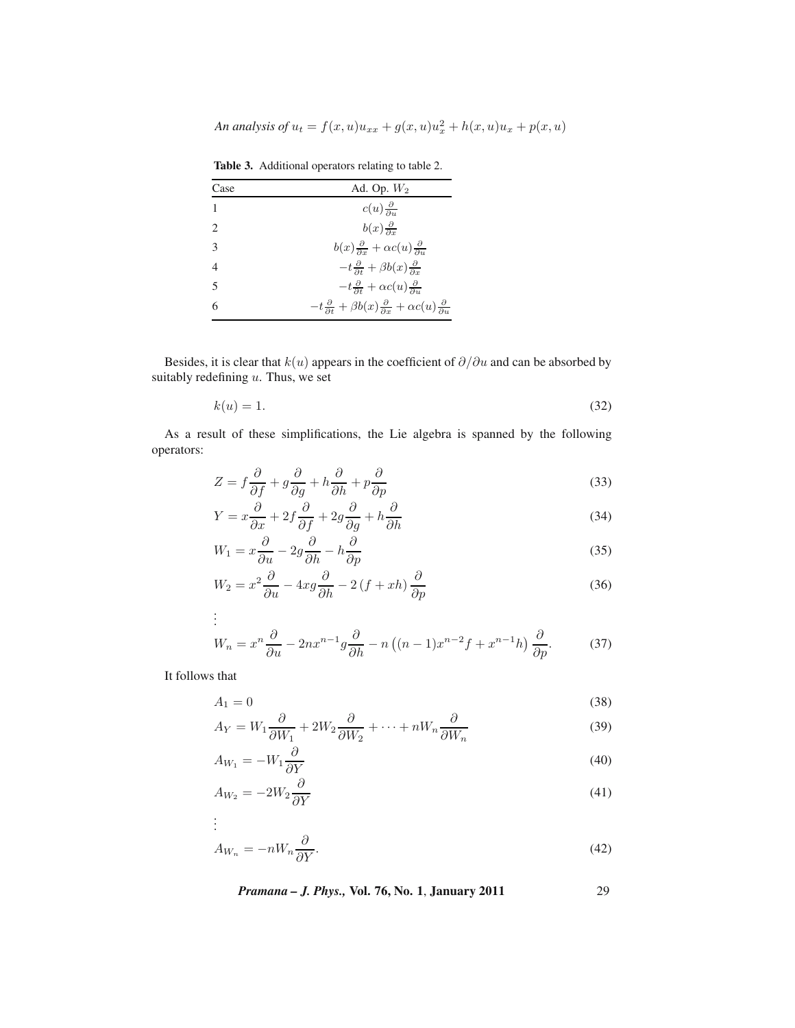*An analysis of*  $u_t = f(x, u)u_{xx} + g(x, u)u_x^2 + h(x, u)u_x + p(x, u)$ 

|                | <b>rapic <math>\mathcal{D}_1</math></b> reductional operators relating to table $\mathcal{D}_2$ .            |
|----------------|--------------------------------------------------------------------------------------------------------------|
| Case           | Ad. Op. $W_2$                                                                                                |
| 1              | $c(u) \frac{\partial}{\partial u}$                                                                           |
| $\mathfrak{D}$ | $b(x)\frac{\partial}{\partial x}$                                                                            |
| $\mathcal{E}$  | $b(x)\frac{\partial}{\partial x} + \alpha c(u)\frac{\partial}{\partial u}$                                   |
| 4              | $-t\frac{\partial}{\partial t}+\beta b(x)\frac{\partial}{\partial x}$                                        |
| $\overline{5}$ | $-t\frac{\partial}{\partial t} + \alpha c(u)\frac{\partial}{\partial u}$                                     |
| 6              | $-t\frac{\partial}{\partial t}+\beta b(x)\frac{\partial}{\partial x}+\alpha c(u)\frac{\partial}{\partial u}$ |

**Table 3.** Additional operators relating to table 2.

Besides, it is clear that  $k(u)$  appears in the coefficient of  $\partial/\partial u$  and can be absorbed by suitably redefining  $u$ . Thus, we set

$$
k(u) = 1.\t\t(32)
$$

As a result of these simplifications, the Lie algebra is spanned by the following operators:

$$
Z = f\frac{\partial}{\partial f} + g\frac{\partial}{\partial g} + h\frac{\partial}{\partial h} + p\frac{\partial}{\partial p}
$$
(33)

$$
Y = x\frac{\partial}{\partial x} + 2f\frac{\partial}{\partial f} + 2g\frac{\partial}{\partial g} + h\frac{\partial}{\partial h}
$$
(34)

$$
W_1 = x\frac{\partial}{\partial u} - 2g\frac{\partial}{\partial h} - h\frac{\partial}{\partial p}
$$
(35)

$$
W_2 = x^2 \frac{\partial}{\partial u} - 4xg \frac{\partial}{\partial h} - 2\left(f + xh\right) \frac{\partial}{\partial p}
$$
\n(36)

$$
\vdots
$$
\n
$$
W_n = x^n \frac{\partial}{\partial u} - 2nx^{n-1}g \frac{\partial}{\partial h} - n\left((n-1)x^{n-2}f + x^{n-1}h\right)\frac{\partial}{\partial p}.
$$
\n(37)

It follows that

$$
A_1 = 0 \tag{38}
$$

$$
A_Y = W_1 \frac{\partial}{\partial W_1} + 2W_2 \frac{\partial}{\partial W_2} + \dots + nW_n \frac{\partial}{\partial W_n}
$$
(39)

$$
A_{W_1} = -W_1 \frac{\partial}{\partial Y} \tag{40}
$$

$$
A_{W_2} = -2W_2 \frac{\partial}{\partial Y} \tag{41}
$$

$$
\vdots
$$
  
\n
$$
A_{W_n} = -nW_n \frac{\partial}{\partial Y}.
$$
\n(42)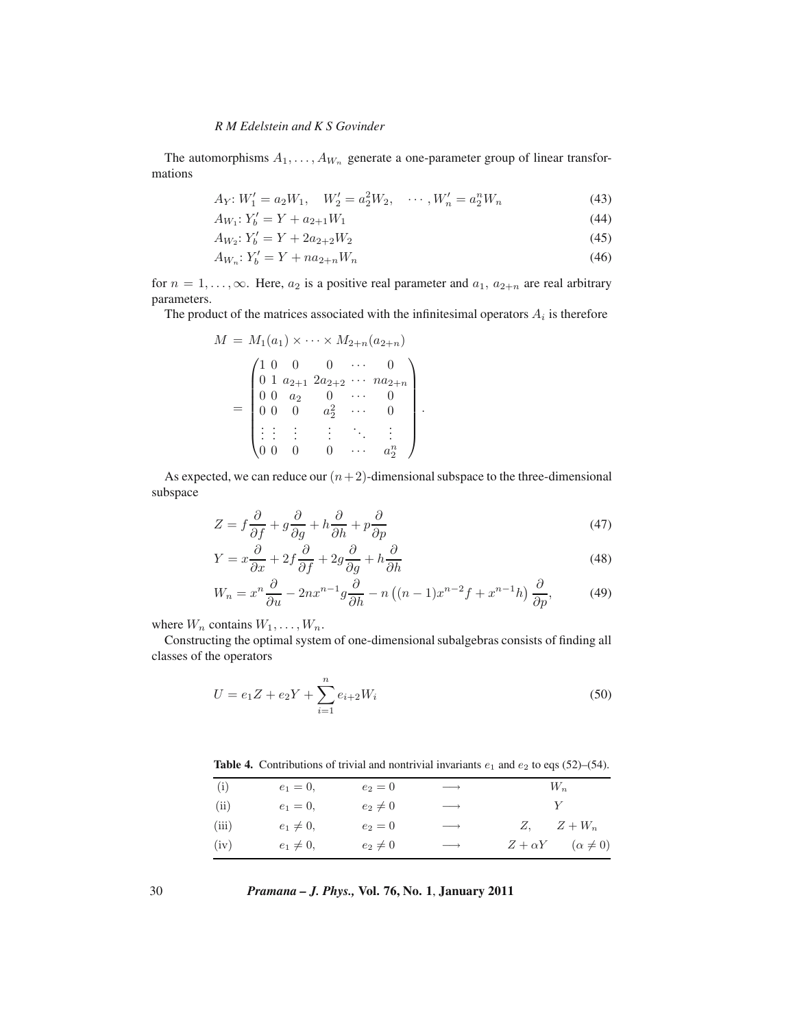The automorphisms  $A_1, \ldots, A_{W_n}$  generate a one-parameter group of linear transformations

$$
A_Y: W_1' = a_2 W_1, \quad W_2' = a_2^2 W_2, \quad \cdots, W_n' = a_2^n W_n \tag{43}
$$

$$
A_{W_1}: Y'_b = Y + a_{2+1}W_1 \tag{44}
$$

$$
A_{W_2}: Y'_b = Y + 2a_{2+2}W_2 \tag{45}
$$

$$
A_{W_n}: Y_b' = Y + n a_{2+n} W_n \tag{46}
$$

for  $n = 1, \ldots, \infty$ . Here,  $a_2$  is a positive real parameter and  $a_1, a_{2+n}$  are real arbitrary parameters.

The product of the matrices associated with the infinitesimal operators  $A_i$  is therefore

$$
M = M_1(a_1) \times \cdots \times M_{2+n}(a_{2+n})
$$
  
= 
$$
\begin{pmatrix} 1 & 0 & 0 & \cdots & 0 \\ 0 & 1 & a_{2+1} & 2a_{2+2} & \cdots & na_{2+n} \\ 0 & 0 & a_2 & 0 & \cdots & 0 \\ 0 & 0 & 0 & a_2^2 & \cdots & 0 \\ \vdots & \vdots & \vdots & \vdots & \ddots & \vdots \\ 0 & 0 & 0 & 0 & \cdots & a_2^n \end{pmatrix}
$$

As expected, we can reduce our  $(n+2)$ -dimensional subspace to the three-dimensional subspace

$$
Z = f\frac{\partial}{\partial f} + g\frac{\partial}{\partial g} + h\frac{\partial}{\partial h} + p\frac{\partial}{\partial p}
$$
(47)

.

$$
Y = x\frac{\partial}{\partial x} + 2f\frac{\partial}{\partial f} + 2g\frac{\partial}{\partial g} + h\frac{\partial}{\partial h}
$$
(48)

$$
W_n = x^n \frac{\partial}{\partial u} - 2nx^{n-1}g \frac{\partial}{\partial h} - n\left((n-1)x^{n-2}f + x^{n-1}h\right)\frac{\partial}{\partial p},\tag{49}
$$

where  $W_n$  contains  $W_1, \ldots, W_n$ .

Constructing the optimal system of one-dimensional subalgebras consists of finding all classes of the operators

$$
U = e_1 Z + e_2 Y + \sum_{i=1}^{n} e_{i+2} W_i
$$
\n(50)

**Table 4.** Contributions of trivial and nontrivial invariants  $e_1$  and  $e_2$  to eqs (52)–(54).

| (i)   | $e_1 = 0,$     | $e_2 = 0$   | $\longrightarrow$ | $W_n$                               |
|-------|----------------|-------------|-------------------|-------------------------------------|
| (ii)  | $e_1 = 0,$     | $e_2\neq 0$ | $\longrightarrow$ |                                     |
| (iii) | $e_1 \neq 0$ , | $e_2 = 0$   | $\longrightarrow$ | $Z+W_n$<br>Z.                       |
| (iv)  | $e_1 \neq 0$ , | $e_2\neq 0$ | $\longrightarrow$ | $(\alpha \neq 0)$<br>$Z + \alpha Y$ |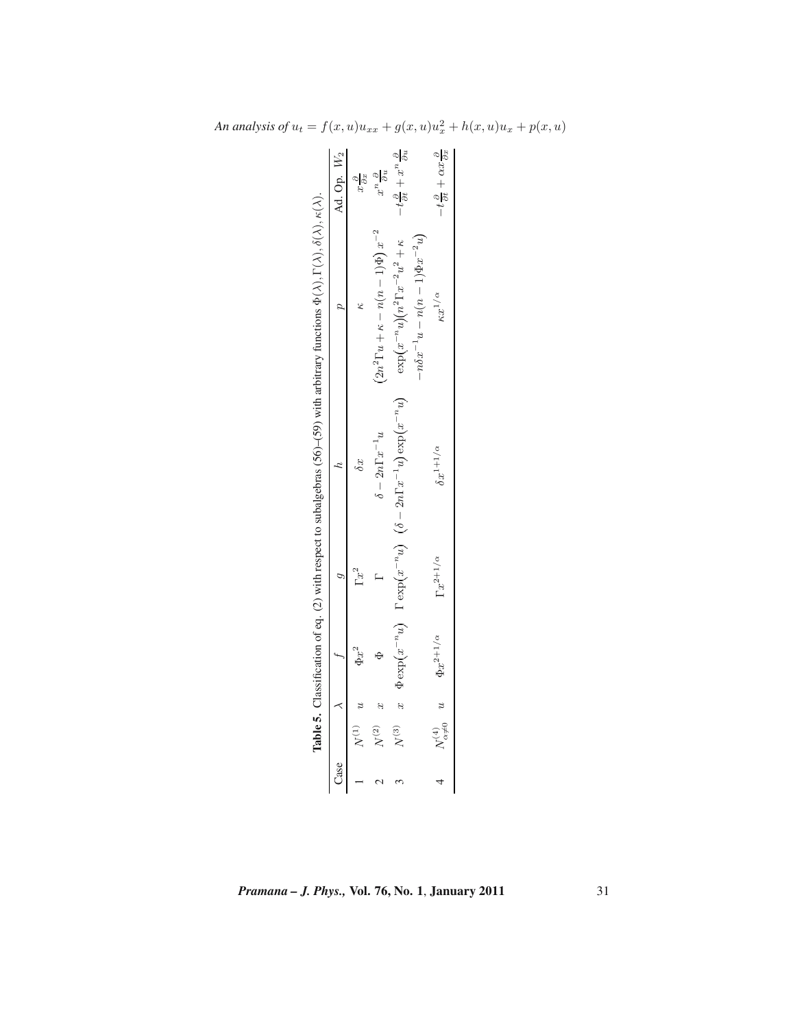|                                                                                                                                                                    | Ad. Op. W <sub>2</sub> |            | $x^n\frac{\partial}{\partial u}$              | $-\frac{6}{e}x + \frac{2}{e}t -$                                                          | $-t\frac{\partial}{\partial x}+\alpha x\frac{\partial}{\partial x}$ |
|--------------------------------------------------------------------------------------------------------------------------------------------------------------------|------------------------|------------|-----------------------------------------------|-------------------------------------------------------------------------------------------|---------------------------------------------------------------------|
|                                                                                                                                                                    |                        |            | $(2n^2\Gamma u + \kappa - n(n-1)\Phi) x^{-2}$ | $-n\delta x^{-1}u - n(n-1)\Phi x^{-2}u$<br>$\exp(x^{-n}u)(n^2\Gamma x^{-2}u^2 + \kappa$   | $\kappa x^{1/\alpha}$                                               |
|                                                                                                                                                                    |                        | δx         | $\delta - 2n\Gamma x^{-1}u$                   | x $\Phi \exp(x^{-n}u)$ $\Gamma \exp(x^{-n}u)$ $(\delta - 2n\Gamma x^{-1}u) \exp(x^{-n}u)$ | $\delta x^{1+1/\alpha}$                                             |
| <b>Table 5.</b> Classification of eq. (2) with respect to subalgebras (56)-(59) with arbitrary functions $\Phi(\lambda)$ , $\Gamma(\lambda)$ , $\kappa(\lambda)$ . |                        |            |                                               |                                                                                           | $\Gamma r^{2+1/\alpha}$                                             |
|                                                                                                                                                                    |                        | $\Phi x^2$ |                                               |                                                                                           | $N_{\alpha\neq 0}^{(4)}$ u $\Phi x^{2+1/\alpha}$                    |
|                                                                                                                                                                    |                        |            |                                               |                                                                                           |                                                                     |
|                                                                                                                                                                    |                        |            |                                               | $N^{(3)}$                                                                                 |                                                                     |
|                                                                                                                                                                    | Case                   |            |                                               |                                                                                           |                                                                     |

*An analysis of*  $u_t = f(x, u)u_{xx} + g(x, u)u_x^2 + h(x, u)u_x + p(x, u)$ 

*Pramana – J. Phys.,* **Vol. 76, No. 1**, **January 2011** 31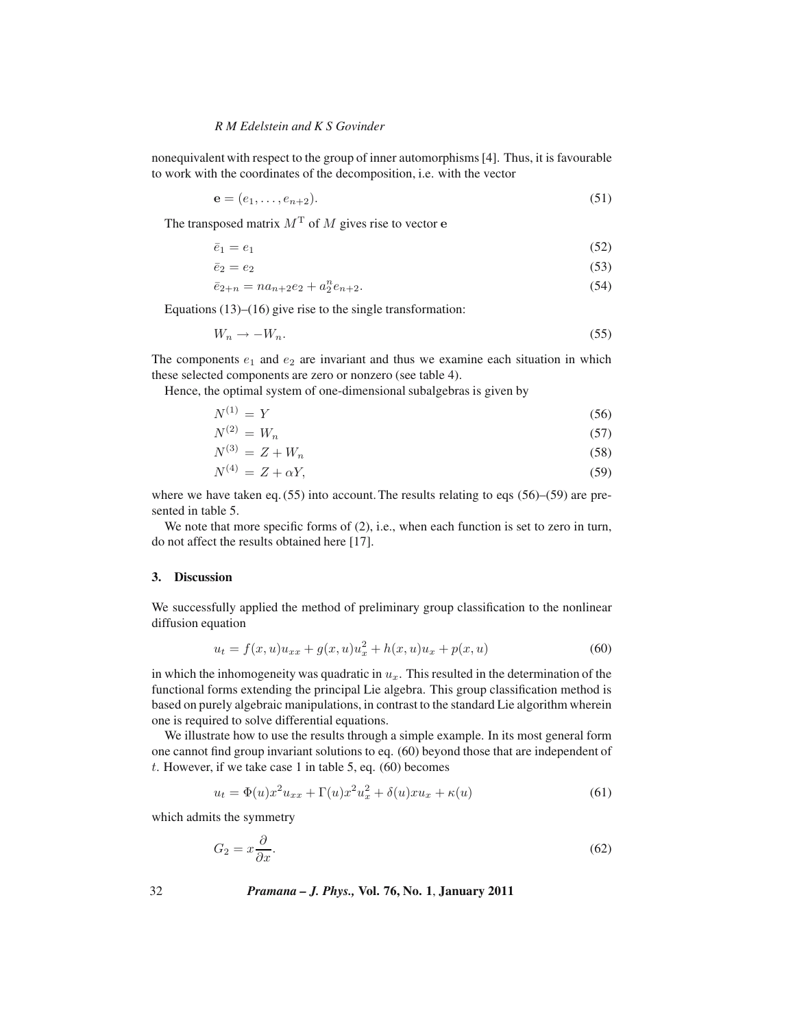nonequivalent with respect to the group of inner automorphisms [4]. Thus, it is favourable to work with the coordinates of the decomposition, i.e. with the vector

$$
\mathbf{e} = (e_1, \dots, e_{n+2}). \tag{51}
$$

The transposed matrix  $M<sup>T</sup>$  of M gives rise to vector **e** 

$$
\bar{e}_1 = e_1 \tag{52}
$$

$$
\bar{e}_2 = e_2 \tag{53}
$$

$$
\bar{e}_{2+n} = n a_{n+2} e_2 + a_2^n e_{n+2}.
$$
\n(54)

Equations (13)–(16) give rise to the single transformation:

$$
W_n \to -W_n. \tag{55}
$$

The components  $e_1$  and  $e_2$  are invariant and thus we examine each situation in which these selected components are zero or nonzero (see table 4).

Hence, the optimal system of one-dimensional subalgebras is given by

$$
N^{(1)} = Y \tag{56}
$$

$$
N^{(2)} = W_n \tag{57}
$$

$$
N^{(3)} = Z + W_n \tag{58}
$$

$$
N^{(4)} = Z + \alpha Y,\tag{59}
$$

where we have taken eq. (55) into account. The results relating to eqs (56)–(59) are presented in table 5.

We note that more specific forms of  $(2)$ , i.e., when each function is set to zero in turn, do not affect the results obtained here [17].

# **3. Discussion**

We successfully applied the method of preliminary group classification to the nonlinear diffusion equation

$$
u_t = f(x, u)u_{xx} + g(x, u)u_x^2 + h(x, u)u_x + p(x, u)
$$
\n(60)

in which the inhomogeneity was quadratic in  $u<sub>x</sub>$ . This resulted in the determination of the functional forms extending the principal Lie algebra. This group classification method is based on purely algebraic manipulations, in contrast to the standard Lie algorithm wherein one is required to solve differential equations.

We illustrate how to use the results through a simple example. In its most general form one cannot find group invariant solutions to eq. (60) beyond those that are independent of t. However, if we take case 1 in table 5, eq.  $(60)$  becomes

$$
u_t = \Phi(u)x^2 u_{xx} + \Gamma(u)x^2 u_x^2 + \delta(u)x u_x + \kappa(u)
$$
\n(61)

which admits the symmetry

$$
G_2 = x \frac{\partial}{\partial x}.\tag{62}
$$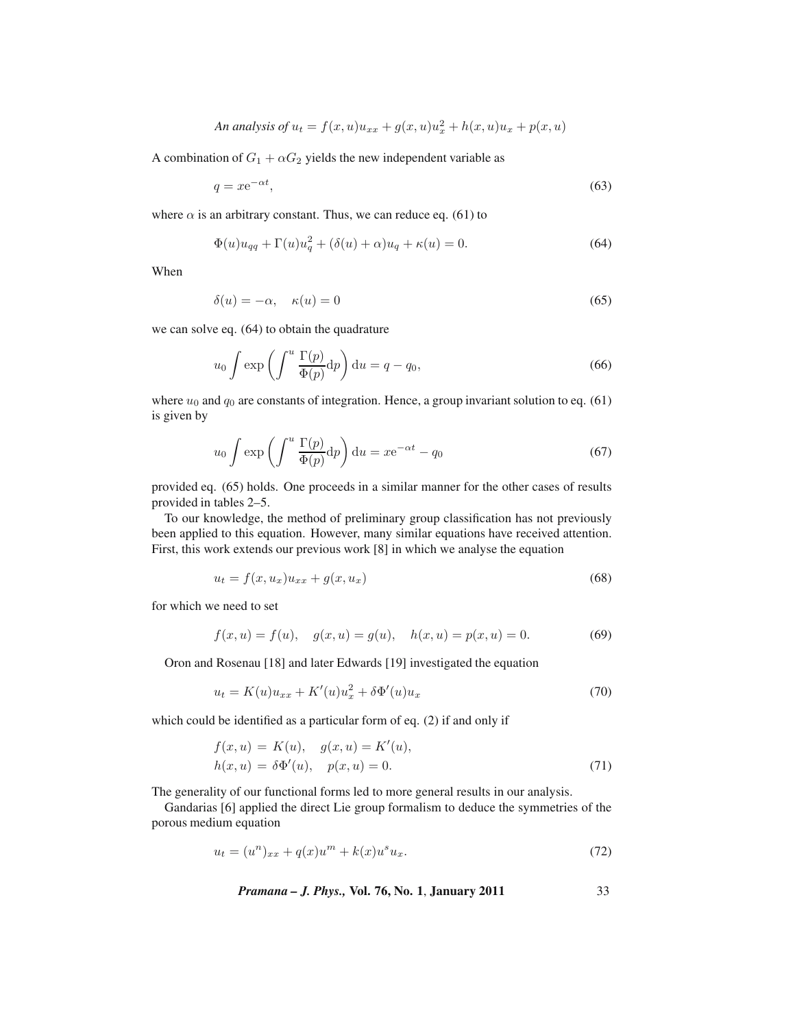An analysis of 
$$
u_t = f(x, u)u_{xx} + g(x, u)u_x^2 + h(x, u)u_x + p(x, u)
$$

A combination of  $G_1 + \alpha G_2$  yields the new independent variable as

$$
q = x e^{-\alpha t},\tag{63}
$$

where  $\alpha$  is an arbitrary constant. Thus, we can reduce eq. (61) to

$$
\Phi(u)u_{qq} + \Gamma(u)u_q^2 + (\delta(u) + \alpha)u_q + \kappa(u) = 0.
$$
\n(64)

When

$$
\delta(u) = -\alpha, \quad \kappa(u) = 0 \tag{65}
$$

we can solve eq. (64) to obtain the quadrature

$$
u_0 \int \exp\left(\int^u \frac{\Gamma(p)}{\Phi(p)} dp\right) du = q - q_0,
$$
\n(66)

where  $u_0$  and  $q_0$  are constants of integration. Hence, a group invariant solution to eq. (61) is given by

$$
u_0 \int \exp\left(\int^u \frac{\Gamma(p)}{\Phi(p)} dp\right) du = x e^{-\alpha t} - q_0 \tag{67}
$$

provided eq. (65) holds. One proceeds in a similar manner for the other cases of results provided in tables 2–5.

To our knowledge, the method of preliminary group classification has not previously been applied to this equation. However, many similar equations have received attention. First, this work extends our previous work [8] in which we analyse the equation

$$
u_t = f(x, u_x)u_{xx} + g(x, u_x)
$$
\n<sup>(68)</sup>

for which we need to set

$$
f(x, u) = f(u), \quad g(x, u) = g(u), \quad h(x, u) = p(x, u) = 0.
$$
 (69)

Oron and Rosenau [18] and later Edwards [19] investigated the equation

$$
u_t = K(u)u_{xx} + K'(u)u_x^2 + \delta \Phi'(u)u_x
$$
\n(70)

which could be identified as a particular form of eq. (2) if and only if

$$
f(x, u) = K(u), \quad g(x, u) = K'(u), h(x, u) = \delta \Phi'(u), \quad p(x, u) = 0.
$$
 (71)

The generality of our functional forms led to more general results in our analysis.

Gandarias [6] applied the direct Lie group formalism to deduce the symmetries of the porous medium equation

$$
u_t = (u^n)_{xx} + q(x)u^m + k(x)u^s u_x.
$$
\n(72)

*Pramana – J. Phys.,* **Vol. 76, No. 1**, **January 2011** 33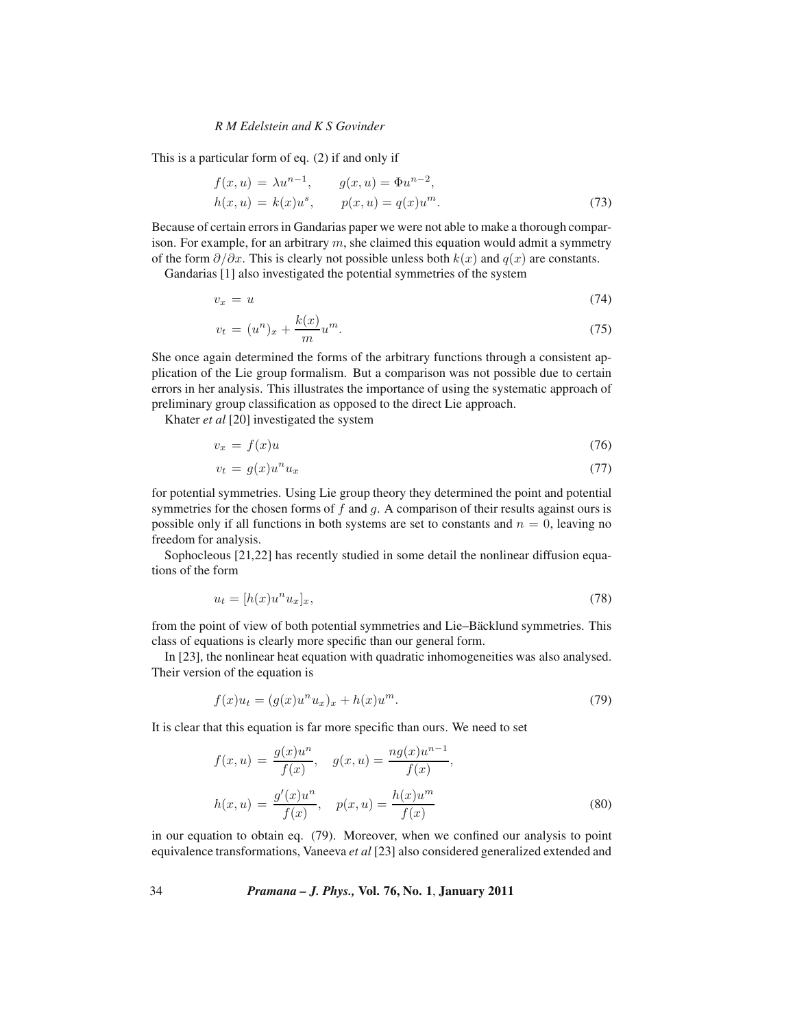This is a particular form of eq. (2) if and only if

$$
f(x, u) = \lambda u^{n-1}, \qquad g(x, u) = \Phi u^{n-2},
$$
  
\n
$$
h(x, u) = k(x)u^{s}, \qquad p(x, u) = q(x)u^{m}.
$$
\n(73)

Because of certain errors in Gandarias paper we were not able to make a thorough comparison. For example, for an arbitrary  $m$ , she claimed this equation would admit a symmetry of the form  $\partial/\partial x$ . This is clearly not possible unless both  $k(x)$  and  $q(x)$  are constants.

Gandarias [1] also investigated the potential symmetries of the system

$$
v_x = u \tag{74}
$$

$$
v_t = (u^n)_x + \frac{k(x)}{m}u^m.
$$
 (75)

m She once again determined the forms of the arbitrary functions through a consistent application of the Lie group formalism. But a comparison was not possible due to certain errors in her analysis. This illustrates the importance of using the systematic approach of preliminary group classification as opposed to the direct Lie approach.

Khater *et al* [20] investigated the system

$$
v_x = f(x)u \tag{76}
$$

$$
v_t = g(x)u^n u_x \tag{77}
$$

for potential symmetries. Using Lie group theory they determined the point and potential symmetries for the chosen forms of  $f$  and  $g$ . A comparison of their results against ours is possible only if all functions in both systems are set to constants and  $n = 0$ , leaving no freedom for analysis.

Sophocleous [21,22] has recently studied in some detail the nonlinear diffusion equations of the form

$$
u_t = [h(x)u^n u_x]_x,\tag{78}
$$

from the point of view of both potential symmetries and Lie–Bäcklund symmetries. This class of equations is clearly more specific than our general form.

In [23], the nonlinear heat equation with quadratic inhomogeneities was also analysed. Their version of the equation is

$$
f(x)u_t = (g(x)u^nu_x)_x + h(x)u^m.
$$
\n(79)

It is clear that this equation is far more specific than ours. We need to set

$$
f(x, u) = \frac{g(x)u^n}{f(x)}, \quad g(x, u) = \frac{ng(x)u^{n-1}}{f(x)},
$$
  

$$
h(x, u) = \frac{g'(x)u^n}{f(x)}, \quad p(x, u) = \frac{h(x)u^m}{f(x)}
$$
(80)

in our equation to obtain eq. (79). Moreover, when we confined our analysis to point equivalence transformations, Vaneeva *et al* [23] also considered generalized extended and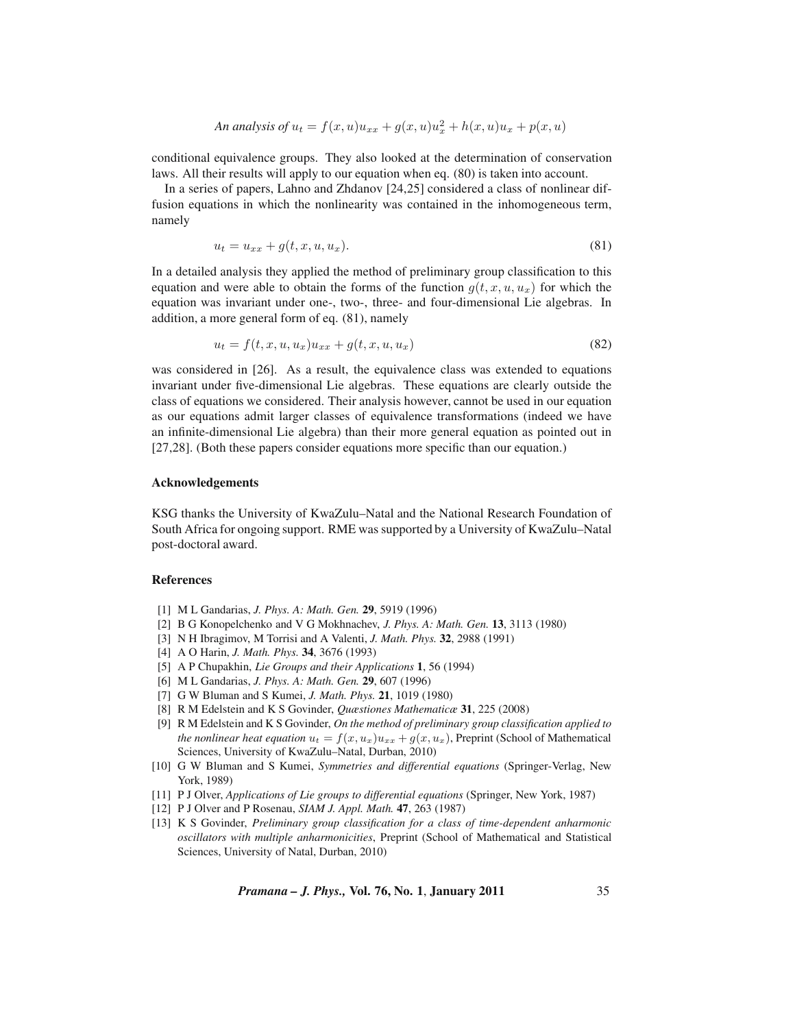An analysis of 
$$
u_t = f(x, u)u_{xx} + g(x, u)u_x^2 + h(x, u)u_x + p(x, u)
$$

conditional equivalence groups. They also looked at the determination of conservation laws. All their results will apply to our equation when eq. (80) is taken into account.

In a series of papers, Lahno and Zhdanov [24,25] considered a class of nonlinear diffusion equations in which the nonlinearity was contained in the inhomogeneous term, namely

$$
u_t = u_{xx} + g(t, x, u, u_x).
$$
 (81)

In a detailed analysis they applied the method of preliminary group classification to this equation and were able to obtain the forms of the function  $q(t, x, u, u<sub>r</sub>)$  for which the equation was invariant under one-, two-, three- and four-dimensional Lie algebras. In addition, a more general form of eq. (81), namely

$$
u_t = f(t, x, u, u_x)u_{xx} + g(t, x, u, u_x)
$$
\n(82)

was considered in [26]. As a result, the equivalence class was extended to equations invariant under five-dimensional Lie algebras. These equations are clearly outside the class of equations we considered. Their analysis however, cannot be used in our equation as our equations admit larger classes of equivalence transformations (indeed we have an infinite-dimensional Lie algebra) than their more general equation as pointed out in [27,28]. (Both these papers consider equations more specific than our equation.)

## **Acknowledgements**

KSG thanks the University of KwaZulu–Natal and the National Research Foundation of South Africa for ongoing support. RME was supported by a University of KwaZulu–Natal post-doctoral award.

## **References**

- [1] M L Gandarias, *J. Phys. A: Math. Gen.* **29**, 5919 (1996)
- [2] B G Konopelchenko and V G Mokhnachev, *J. Phys. A: Math. Gen.* **13**, 3113 (1980)
- [3] N H Ibragimov, M Torrisi and A Valenti, *J. Math. Phys.* **32**, 2988 (1991)
- [4] A O Harin, *J. Math. Phys.* **34**, 3676 (1993)
- [5] A P Chupakhin, *Lie Groups and their Applications* **1**, 56 (1994)
- [6] M L Gandarias, *J. Phys. A: Math. Gen.* **29**, 607 (1996)
- [7] G W Bluman and S Kumei, *J. Math. Phys.* **21**, 1019 (1980)
- [8] R M Edelstein and K S Govinder, *Quæstiones Mathematicæ* **31**, 225 (2008)
- [9] R M Edelstein and K S Govinder, *On the method of preliminary group classification applied to the nonlinear heat equation*  $u_t = f(x, u_x)u_{xx} + g(x, u_x)$ , Preprint (School of Mathematical Sciences, University of KwaZulu–Natal, Durban, 2010)
- [10] G W Bluman and S Kumei, *Symmetries and differential equations* (Springer-Verlag, New York, 1989)
- [11] P J Olver, *Applications of Lie groups to differential equations* (Springer, New York, 1987)
- [12] P J Olver and P Rosenau, *SIAM J. Appl. Math.* **47**, 263 (1987)
- [13] K S Govinder, *Preliminary group classification for a class of time-dependent anharmonic oscillators with multiple anharmonicities*, Preprint (School of Mathematical and Statistical Sciences, University of Natal, Durban, 2010)